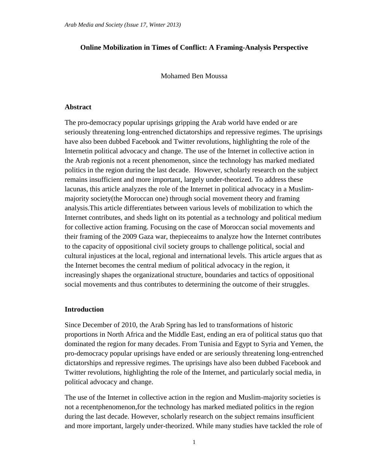## **Online Mobilization in Times of Conflict: A Framing-Analysis Perspective**

Mohamed Ben Moussa

### **Abstract**

The pro-democracy popular uprisings gripping the Arab world have ended or are seriously threatening long-entrenched dictatorships and repressive regimes. The uprisings have also been dubbed Facebook and Twitter revolutions, highlighting the role of the Internetin political advocacy and change. The use of the Internet in collective action in the Arab regionis not a recent phenomenon, since the technology has marked mediated politics in the region during the last decade. However, scholarly research on the subject remains insufficient and more important, largely under-theorized. To address these lacunas, this article analyzes the role of the Internet in political advocacy in a Muslimmajority society(the Moroccan one) through social movement theory and framing analysis.This article differentiates between various levels of mobilization to which the Internet contributes, and sheds light on its potential as a technology and political medium for collective action framing. Focusing on the case of Moroccan social movements and their framing of the 2009 Gaza war, thepieceaims to analyze how the Internet contributes to the capacity of oppositional civil society groups to challenge political, social and cultural injustices at the local, regional and international levels. This article argues that as the Internet becomes the central medium of political advocacy in the region, it increasingly shapes the organizational structure, boundaries and tactics of oppositional social movements and thus contributes to determining the outcome of their struggles.

#### **Introduction**

Since December of 2010, the Arab Spring has led to transformations of historic proportions in North Africa and the Middle East, ending an era of political status quo that dominated the region for many decades. From Tunisia and Egypt to Syria and Yemen, the pro-democracy popular uprisings have ended or are seriously threatening long-entrenched dictatorships and repressive regimes. The uprisings have also been dubbed Facebook and Twitter revolutions, highlighting the role of the Internet, and particularly social media, in political advocacy and change.

The use of the Internet in collective action in the region and Muslim-majority societies is not a recentphenomenon,for the technology has marked mediated politics in the region during the last decade. However, scholarly research on the subject remains insufficient and more important, largely under-theorized. While many studies have tackled the role of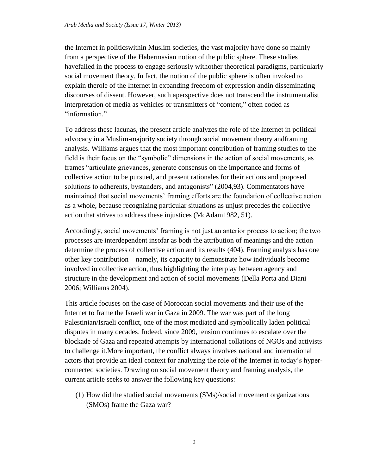the Internet in politicswithin Muslim societies, the vast majority have done so mainly from a perspective of the Habermasian notion of the public sphere. These studies havefailed in the process to engage seriously withother theoretical paradigms, particularly social movement theory. In fact, the notion of the public sphere is often invoked to explain therole of the Internet in expanding freedom of expression andin disseminating discourses of dissent. However, such aperspective does not transcend the instrumentalist interpretation of media as vehicles or transmitters of "content," often coded as "information."

To address these lacunas, the present article analyzes the role of the Internet in political advocacy in a Muslim-majority society through social movement theory andframing analysis. Williams argues that the most important contribution of framing studies to the field is their focus on the "symbolic" dimensions in the action of social movements, as frames "articulate grievances, generate consensus on the importance and forms of collective action to be pursued, and present rationales for their actions and proposed solutions to adherents, bystanders, and antagonists" (2004,93). Commentators have maintained that social movements' framing efforts are the foundation of collective action as a whole, because recognizing particular situations as unjust precedes the collective action that strives to address these injustices (McAdam1982, 51).

Accordingly, social movements' framing is not just an anterior process to action; the two processes are interdependent insofar as both the attribution of meanings and the action determine the process of collective action and its results (404). Framing analysis has one other key contribution—namely, its capacity to demonstrate how individuals become involved in collective action, thus highlighting the interplay between agency and structure in the development and action of social movements (Della Porta and Diani 2006; Williams 2004).

This article focuses on the case of Moroccan social movements and their use of the Internet to frame the Israeli war in Gaza in 2009. The war was part of the long Palestinian/Israeli conflict, one of the most mediated and symbolically laden political disputes in many decades. Indeed, since 2009, tension continues to escalate over the blockade of Gaza and repeated attempts by international collations of NGOs and activists to challenge it.More important, the conflict always involves national and international actors that provide an ideal context for analyzing the role of the Internet in today's hyperconnected societies. Drawing on social movement theory and framing analysis, the current article seeks to answer the following key questions:

(1) How did the studied social movements (SMs)/social movement organizations (SMOs) frame the Gaza war?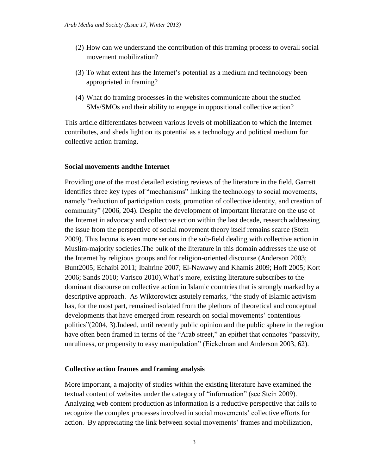- (2) How can we understand the contribution of this framing process to overall social movement mobilization?
- (3) To what extent has the Internet's potential as a medium and technology been appropriated in framing?
- (4) What do framing processes in the websites communicate about the studied SMs/SMOs and their ability to engage in oppositional collective action?

This article differentiates between various levels of mobilization to which the Internet contributes, and sheds light on its potential as a technology and political medium for collective action framing.

#### **Social movements andthe Internet**

Providing one of the most detailed existing reviews of the literature in the field, Garrett identifies three key types of "mechanisms" linking the technology to social movements, namely "reduction of participation costs, promotion of collective identity, and creation of community" (2006, 204). Despite the development of important literature on the use of the Internet in advocacy and collective action within the last decade, research addressing the issue from the perspective of social movement theory itself remains scarce (Stein 2009). This lacuna is even more serious in the sub-field dealing with collective action in Muslim-majority societies.The bulk of the literature in this domain addresses the use of the Internet by religious groups and for religion-oriented discourse (Anderson 2003; Bunt2005; Echaibi 2011; Ibahrine 2007; El-Nawawy and Khamis 2009; Hoff 2005; Kort 2006; Sands 2010; Varisco 2010).What's more, existing literature subscribes to the dominant discourse on collective action in Islamic countries that is strongly marked by a descriptive approach. As Wiktorowicz astutely remarks, "the study of Islamic activism has, for the most part, remained isolated from the plethora of theoretical and conceptual developments that have emerged from research on social movements' contentious politics"(2004, 3).Indeed, until recently public opinion and the public sphere in the region have often been framed in terms of the "Arab street," an epithet that connotes "passivity, unruliness, or propensity to easy manipulation" (Eickelman and Anderson 2003, 62).

#### **Collective action frames and framing analysis**

More important, a majority of studies within the existing literature have examined the textual content of websites under the category of "information" (see Stein 2009). Analyzing web content production as information is a reductive perspective that fails to recognize the complex processes involved in social movements' collective efforts for action. By appreciating the link between social movements' frames and mobilization,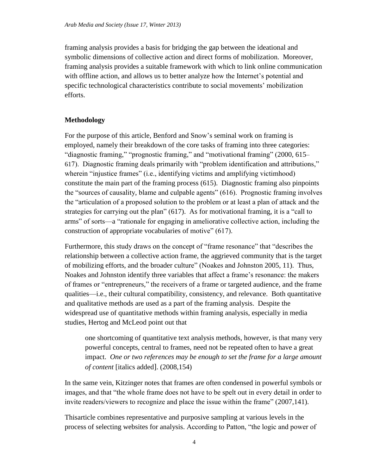framing analysis provides a basis for bridging the gap between the ideational and symbolic dimensions of collective action and direct forms of mobilization. Moreover, framing analysis provides a suitable framework with which to link online communication with offline action, and allows us to better analyze how the Internet's potential and specific technological characteristics contribute to social movements' mobilization efforts.

# **Methodology**

For the purpose of this article, Benford and Snow's seminal work on framing is employed, namely their breakdown of the core tasks of framing into three categories: "diagnostic framing," "prognostic framing," and "motivational framing" (2000, 615– 617). Diagnostic framing deals primarily with "problem identification and attributions," wherein "injustice frames" (i.e., identifying victims and amplifying victimhood) constitute the main part of the framing process (615). Diagnostic framing also pinpoints the "sources of causality, blame and culpable agents" (616). Prognostic framing involves the "articulation of a proposed solution to the problem or at least a plan of attack and the strategies for carrying out the plan" (617). As for motivational framing, it is a "call to arms" of sorts—a "rationale for engaging in ameliorative collective action, including the construction of appropriate vocabularies of motive" (617).

Furthermore, this study draws on the concept of "frame resonance" that "describes the relationship between a collective action frame, the aggrieved community that is the target of mobilizing efforts, and the broader culture" (Noakes and Johnston 2005, 11). Thus, Noakes and Johnston identify three variables that affect a frame's resonance: the makers of frames or "entrepreneurs," the receivers of a frame or targeted audience, and the frame qualities—i.e., their cultural compatibility, consistency, and relevance. Both quantitative and qualitative methods are used as a part of the framing analysis. Despite the widespread use of quantitative methods within framing analysis, especially in media studies, Hertog and McLeod point out that

one shortcoming of quantitative text analysis methods, however, is that many very powerful concepts, central to frames, need not be repeated often to have a great impact. *One or two references may be enough to set the frame for a large amount of content* [italics added]. (2008,154)

In the same vein, Kitzinger notes that frames are often condensed in powerful symbols or images, and that "the whole frame does not have to be spelt out in every detail in order to invite readers/viewers to recognize and place the issue within the frame" (2007,141).

Thisarticle combines representative and purposive sampling at various levels in the process of selecting websites for analysis. According to Patton, "the logic and power of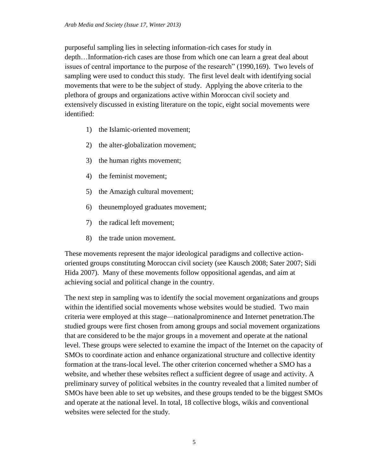purposeful sampling lies in selecting information-rich cases for study in depth…Information-rich cases are those from which one can learn a great deal about issues of central importance to the purpose of the research" (1990,169). Two levels of sampling were used to conduct this study. The first level dealt with identifying social movements that were to be the subject of study. Applying the above criteria to the plethora of groups and organizations active within Moroccan civil society and extensively discussed in existing literature on the topic, eight social movements were identified:

- 1) the Islamic-oriented movement;
- 2) the alter-globalization movement;
- 3) the human rights movement;
- 4) the feminist movement;
- 5) the Amazigh cultural movement;
- 6) theunemployed graduates movement;
- 7) the radical left movement;
- 8) the trade union movement.

These movements represent the major ideological paradigms and collective actionoriented groups constituting Moroccan civil society (see Kausch 2008; Sater 2007; Sidi Hida 2007). Many of these movements follow oppositional agendas, and aim at achieving social and political change in the country.

The next step in sampling was to identify the social movement organizations and groups within the identified social movements whose websites would be studied. Two main criteria were employed at this stage—nationalprominence and Internet penetration.The studied groups were first chosen from among groups and social movement organizations that are considered to be the major groups in a movement and operate at the national level. These groups were selected to examine the impact of the Internet on the capacity of SMOs to coordinate action and enhance organizational structure and collective identity formation at the trans-local level. The other criterion concerned whether a SMO has a website, and whether these websites reflect a sufficient degree of usage and activity. A preliminary survey of political websites in the country revealed that a limited number of SMOs have been able to set up websites, and these groups tended to be the biggest SMOs and operate at the national level. In total, 18 collective blogs, wikis and conventional websites were selected for the study.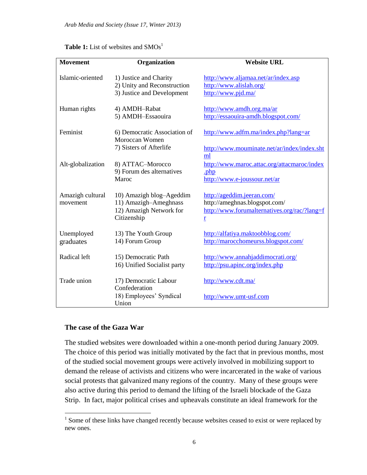| <b>Movement</b>              | Organization                                                                                | <b>Website URL</b>                                                                                                                      |  |  |  |  |
|------------------------------|---------------------------------------------------------------------------------------------|-----------------------------------------------------------------------------------------------------------------------------------------|--|--|--|--|
|                              |                                                                                             |                                                                                                                                         |  |  |  |  |
| Islamic-oriented             | 1) Justice and Charity<br>2) Unity and Reconstruction<br>3) Justice and Development         | http://www.aljamaa.net/ar/index.asp<br>http://www.alislah.org/<br>http://www.pjd.ma/                                                    |  |  |  |  |
| Human rights                 | 4) AMDH-Rabat<br>5) AMDH-Essaouira                                                          | http://www.amdh.org.ma/ar<br>http://essaouira-amdh.blogspot.com/                                                                        |  |  |  |  |
| Feminist                     | 6) Democratic Association of<br>Moroccan Women                                              | http://www.adfm.ma/index.php?lang=ar                                                                                                    |  |  |  |  |
|                              | 7) Sisters of Afterlife                                                                     | http://www.mouminate.net/ar/index/index.sht<br>ml                                                                                       |  |  |  |  |
| Alt-globalization            | 8) ATTAC-Morocco<br>9) Forum des alternatives<br>Maroc                                      | http://www.maroc.attac.org/attacmaroc/index<br>.php                                                                                     |  |  |  |  |
|                              |                                                                                             | http://www.e-joussour.net/ar                                                                                                            |  |  |  |  |
| Amazigh cultural<br>movement | 10) Amazigh blog-Ageddim<br>11) Amazigh-Ameghnass<br>12) Amazigh Network for<br>Citizenship | http://ageddim.jeeran.com/<br>http://ameghnas.blogspot.com/<br>http://www.forumalternatives.org/rac/?lang=f<br>$\underline{\mathbf{r}}$ |  |  |  |  |
| Unemployed<br>graduates      | 13) The Youth Group<br>14) Forum Group                                                      | http://alfatiya.maktoobblog.com/<br>http://marocchomeurss.blogspot.com/                                                                 |  |  |  |  |
| Radical left                 | 15) Democratic Path<br>16) Unified Socialist party                                          | http://www.annahjaddimocrati.org/<br>http://psu.apinc.org/index.php                                                                     |  |  |  |  |
| Trade union                  | 17) Democratic Labour<br>Confederation                                                      | http://www.cdt.ma/                                                                                                                      |  |  |  |  |
|                              | 18) Employees' Syndical<br>Union                                                            | http://www.umt-usf.com                                                                                                                  |  |  |  |  |

## **Table 1:** List of websites and SMOs<sup>1</sup>

### **The case of the Gaza War**

The studied websites were downloaded within a one-month period during January 2009. The choice of this period was initially motivated by the fact that in previous months, most of the studied social movement groups were actively involved in mobilizing support to demand the release of activists and citizens who were incarcerated in the wake of various social protests that galvanized many regions of the country. Many of these groups were also active during this period to demand the lifting of the Israeli blockade of the Gaza Strip. In fact, major political crises and upheavals constitute an ideal framework for the

<sup>&</sup>lt;sup>1</sup> Some of these links have changed recently because websites ceased to exist or were replaced by new ones.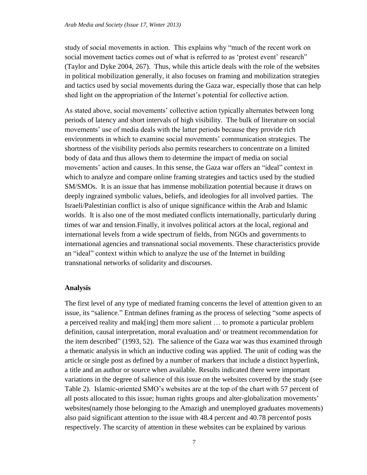study of social movements in action. This explains why "much of the recent work on social movement tactics comes out of what is referred to as 'protest event' research" (Taylor and Dyke 2004, 267). Thus, while this article deals with the role of the websites in political mobilization generally, it also focuses on framing and mobilization strategies and tactics used by social movements during the Gaza war, especially those that can help shed light on the appropriation of the Internet's potential for collective action.

As stated above, social movements' collective action typically alternates between long periods of latency and short intervals of high visibility. The bulk of literature on social movements' use of media deals with the latter periods because they provide rich environments in which to examine social movements' communication strategies. The shortness of the visibility periods also permits researchers to concentrate on a limited body of data and thus allows them to determine the impact of media on social movements' action and causes. In this sense, the Gaza war offers an "ideal" context in which to analyze and compare online framing strategies and tactics used by the studied SM/SMOs. It is an issue that has immense mobilization potential because it draws on deeply ingrained symbolic values, beliefs, and ideologies for all involved parties. The Israeli/Palestinian conflict is also of unique significance within the Arab and Islamic worlds. It is also one of the most mediated conflicts internationally, particularly during times of war and tension.Finally, it involves political actors at the local, regional and international levels from a wide spectrum of fields, from NGOs and governments to international agencies and transnational social movements. These characteristics provide an "ideal" context within which to analyze the use of the Internet in building transnational networks of solidarity and discourses.

#### **Analysis**

The first level of any type of mediated framing concerns the level of attention given to an issue, its "salience." Entman defines framing as the process of selecting "some aspects of a perceived reality and mak[ing] them more salient … to promote a particular problem definition, causal interpretation, moral evaluation and/ or treatment recommendation for the item described" (1993, 52). The salience of the Gaza war was thus examined through a thematic analysis in which an inductive coding was applied. The unit of coding was the article or single post as defined by a number of markers that include a distinct hyperlink, a title and an author or source when available. Results indicated there were important variations in the degree of salience of this issue on the websites covered by the study (see Table 2). Islamic-oriented SMO's websites are at the top of the chart with 57 percent of all posts allocated to this issue; human rights groups and alter-globalization movements' websites(namely those belonging to the Amazigh and unemployed graduates movements) also paid significant attention to the issue with 48.4 percent and 40.78 percentof posts respectively. The scarcity of attention in these websites can be explained by various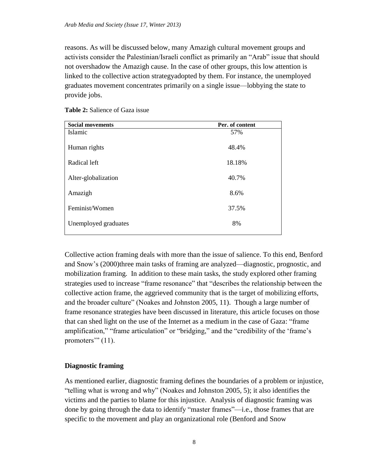reasons. As will be discussed below, many Amazigh cultural movement groups and activists consider the Palestinian/Israeli conflict as primarily an "Arab" issue that should not overshadow the Amazigh cause. In the case of other groups, this low attention is linked to the collective action strategyadopted by them. For instance, the unemployed graduates movement concentrates primarily on a single issue—lobbying the state to provide jobs.

| <b>Social movements</b> | Per. of content |
|-------------------------|-----------------|
| Islamic                 | 57%             |
| Human rights            | 48.4%           |
| Radical left            | 18.18%          |
| Alter-globalization     | 40.7%           |
| Amazigh                 | 8.6%            |
| Feminist/Women          | 37.5%           |
| Unemployed graduates    | 8%              |
|                         |                 |

### **Table 2:** Salience of Gaza issue

Collective action framing deals with more than the issue of salience. To this end, Benford and Snow's (2000)three main tasks of framing are analyzed—diagnostic, prognostic, and mobilization framing. In addition to these main tasks, the study explored other framing strategies used to increase "frame resonance" that "describes the relationship between the collective action frame, the aggrieved community that is the target of mobilizing efforts, and the broader culture" (Noakes and Johnston 2005, 11). Though a large number of frame resonance strategies have been discussed in literature, this article focuses on those that can shed light on the use of the Internet as a medium in the case of Gaza: "frame amplification," "frame articulation" or "bridging," and the "credibility of the 'frame's promoters $\cdot$ " (11).

# **Diagnostic framing**

As mentioned earlier, diagnostic framing defines the boundaries of a problem or injustice, "telling what is wrong and why" (Noakes and Johnston 2005, 5); it also identifies the victims and the parties to blame for this injustice. Analysis of diagnostic framing was done by going through the data to identify "master frames"—i.e., those frames that are specific to the movement and play an organizational role (Benford and Snow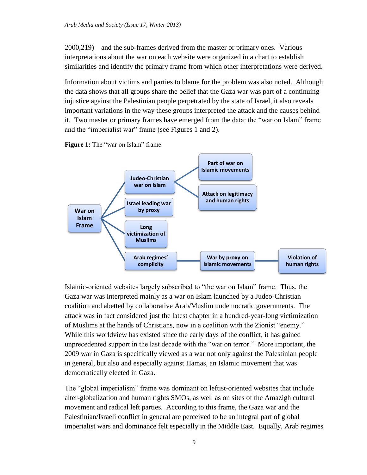2000,219)—and the sub-frames derived from the master or primary ones. Various interpretations about the war on each website were organized in a chart to establish similarities and identify the primary frame from which other interpretations were derived.

Information about victims and parties to blame for the problem was also noted. Although the data shows that all groups share the belief that the Gaza war was part of a continuing injustice against the Palestinian people perpetrated by the state of Israel, it also reveals important variations in the way these groups interpreted the attack and the causes behind it. Two master or primary frames have emerged from the data: the "war on Islam" frame and the "imperialist war" frame (see Figures 1 and 2).



**Figure 1:** The "war on Islam" frame

Islamic-oriented websites largely subscribed to "the war on Islam" frame. Thus, the Gaza war was interpreted mainly as a war on Islam launched by a Judeo-Christian coalition and abetted by collaborative Arab/Muslim undemocratic governments. The attack was in fact considered just the latest chapter in a hundred-year-long victimization of Muslims at the hands of Christians, now in a coalition with the Zionist "enemy." While this worldview has existed since the early days of the conflict, it has gained unprecedented support in the last decade with the "war on terror." More important, the 2009 war in Gaza is specifically viewed as a war not only against the Palestinian people in general, but also and especially against Hamas, an Islamic movement that was democratically elected in Gaza.

The "global imperialism" frame was dominant on leftist-oriented websites that include alter-globalization and human rights SMOs, as well as on sites of the Amazigh cultural movement and radical left parties. According to this frame, the Gaza war and the Palestinian/Israeli conflict in general are perceived to be an integral part of global imperialist wars and dominance felt especially in the Middle East. Equally, Arab regimes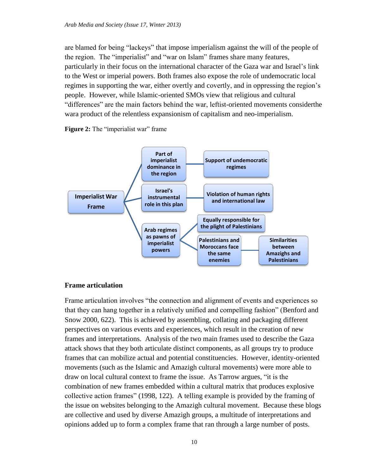are blamed for being "lackeys" that impose imperialism against the will of the people of the region. The "imperialist" and "war on Islam" frames share many features, particularly in their focus on the international character of the Gaza war and Israel's link to the West or imperial powers. Both frames also expose the role of undemocratic local regimes in supporting the war, either overtly and covertly, and in oppressing the region's people. However, while Islamic-oriented SMOs view that religious and cultural "differences" are the main factors behind the war, leftist-oriented movements considerthe wara product of the relentless expansionism of capitalism and neo-imperialism.

**Figure 2:** The "imperialist war" frame



#### **Frame articulation**

Frame articulation involves "the connection and alignment of events and experiences so that they can hang together in a relatively unified and compelling fashion" (Benford and Snow 2000, 622). This is achieved by assembling, collating and packaging different perspectives on various events and experiences, which result in the creation of new frames and interpretations. Analysis of the two main frames used to describe the Gaza attack shows that they both articulate distinct components, as all groups try to produce frames that can mobilize actual and potential constituencies. However, identity-oriented movements (such as the Islamic and Amazigh cultural movements) were more able to draw on local cultural context to frame the issue. As Tarrow argues, "it is the combination of new frames embedded within a cultural matrix that produces explosive collective action frames" (1998, 122). A telling example is provided by the framing of the issue on websites belonging to the Amazigh cultural movement. Because these blogs are collective and used by diverse Amazigh groups, a multitude of interpretations and opinions added up to form a complex frame that ran through a large number of posts.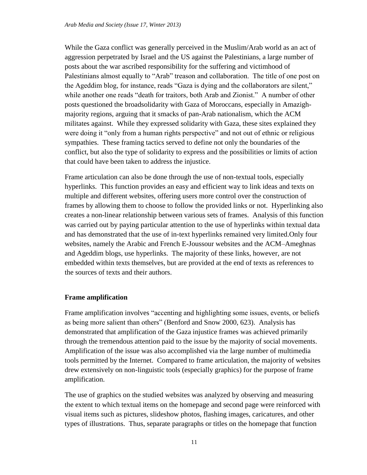While the Gaza conflict was generally perceived in the Muslim/Arab world as an act of aggression perpetrated by Israel and the US against the Palestinians, a large number of posts about the war ascribed responsibility for the suffering and victimhood of Palestinians almost equally to "Arab" treason and collaboration. The title of one post on the Ageddim blog, for instance, reads "Gaza is dying and the collaborators are silent," while another one reads "death for traitors, both Arab and Zionist." A number of other posts questioned the broadsolidarity with Gaza of Moroccans, especially in Amazighmajority regions, arguing that it smacks of pan-Arab nationalism, which the ACM militates against. While they expressed solidarity with Gaza, these sites explained they were doing it "only from a human rights perspective" and not out of ethnic or religious sympathies. These framing tactics served to define not only the boundaries of the conflict, but also the type of solidarity to express and the possibilities or limits of action that could have been taken to address the injustice.

Frame articulation can also be done through the use of non-textual tools, especially hyperlinks. This function provides an easy and efficient way to link ideas and texts on multiple and different websites, offering users more control over the construction of frames by allowing them to choose to follow the provided links or not. Hyperlinking also creates a non-linear relationship between various sets of frames. Analysis of this function was carried out by paying particular attention to the use of hyperlinks within textual data and has demonstrated that the use of in-text hyperlinks remained very limited.Only four websites, namely the Arabic and French E-Joussour websites and the ACM–Ameghnas and Ageddim blogs, use hyperlinks. The majority of these links, however, are not embedded within texts themselves, but are provided at the end of texts as references to the sources of texts and their authors.

# **Frame amplification**

Frame amplification involves "accenting and highlighting some issues, events, or beliefs as being more salient than others" (Benford and Snow 2000, 623). Analysis has demonstrated that amplification of the Gaza injustice frames was achieved primarily through the tremendous attention paid to the issue by the majority of social movements. Amplification of the issue was also accomplished via the large number of multimedia tools permitted by the Internet. Compared to frame articulation, the majority of websites drew extensively on non-linguistic tools (especially graphics) for the purpose of frame amplification.

The use of graphics on the studied websites was analyzed by observing and measuring the extent to which textual items on the homepage and second page were reinforced with visual items such as pictures, slideshow photos, flashing images, caricatures, and other types of illustrations. Thus, separate paragraphs or titles on the homepage that function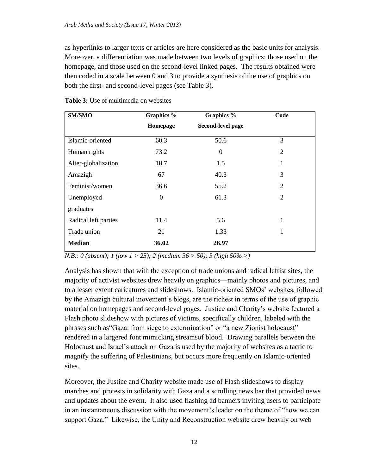as hyperlinks to larger texts or articles are here considered as the basic units for analysis. Moreover, a differentiation was made between two levels of graphics: those used on the homepage, and those used on the second-level linked pages. The results obtained were then coded in a scale between 0 and 3 to provide a synthesis of the use of graphics on both the first- and second-level pages (see Table 3).

| SM/SMO               | Graphics % | Graphics %        | Code           |  |
|----------------------|------------|-------------------|----------------|--|
|                      | Homepage   | Second-level page |                |  |
| Islamic-oriented     | 60.3       | 50.6              | 3              |  |
| Human rights         | 73.2       | $\boldsymbol{0}$  | $\overline{2}$ |  |
| Alter-globalization  | 18.7       | 1.5               | 1              |  |
| Amazigh              | 67         | 40.3              | 3              |  |
| Feminist/women       | 36.6       | 55.2              | $\overline{2}$ |  |
| Unemployed           | $\Omega$   | 61.3              | $\overline{2}$ |  |
| graduates            |            |                   |                |  |
| Radical left parties | 11.4       | 5.6               | 1              |  |
| Trade union          | 21         | 1.33              | 1              |  |
| <b>Median</b>        | 36.02      | 26.97             |                |  |

**Table 3:** Use of multimedia on websites

*N.B.: 0 (absent); 1 (low 1 > 25); 2 (medium 36 > 50); 3 (high 50% >)*

Analysis has shown that with the exception of trade unions and radical leftist sites, the majority of activist websites drew heavily on graphics—mainly photos and pictures, and to a lesser extent caricatures and slideshows. Islamic-oriented SMOs' websites, followed by the Amazigh cultural movement's blogs, are the richest in terms of the use of graphic material on homepages and second-level pages. Justice and Charity's website featured a Flash photo slideshow with pictures of victims, specifically children, labeled with the phrases such as"Gaza: from siege to extermination" or "a new Zionist holocaust" rendered in a largered font mimicking streamsof blood. Drawing parallels between the Holocaust and Israel's attack on Gaza is used by the majority of websites as a tactic to magnify the suffering of Palestinians, but occurs more frequently on Islamic-oriented sites.

Moreover, the Justice and Charity website made use of Flash slideshows to display marches and protests in solidarity with Gaza and a scrolling news bar that provided news and updates about the event. It also used flashing ad banners inviting users to participate in an instantaneous discussion with the movement's leader on the theme of "how we can support Gaza." Likewise, the Unity and Reconstruction website drew heavily on web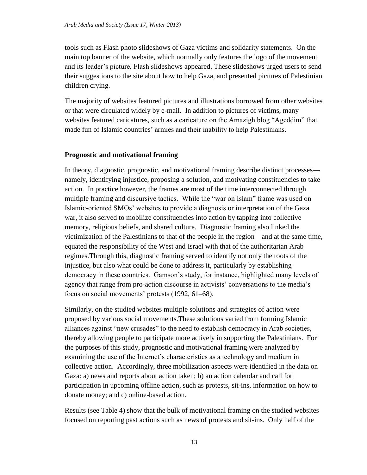tools such as Flash photo slideshows of Gaza victims and solidarity statements. On the main top banner of the website, which normally only features the logo of the movement and its leader's picture, Flash slideshows appeared. These slideshows urged users to send their suggestions to the site about how to help Gaza, and presented pictures of Palestinian children crying.

The majority of websites featured pictures and illustrations borrowed from other websites or that were circulated widely by e-mail. In addition to pictures of victims, many websites featured caricatures, such as a caricature on the Amazigh blog "Ageddim" that made fun of Islamic countries' armies and their inability to help Palestinians.

# **Prognostic and motivational framing**

In theory, diagnostic, prognostic, and motivational framing describe distinct processes namely, identifying injustice, proposing a solution, and motivating constituencies to take action. In practice however, the frames are most of the time interconnected through multiple framing and discursive tactics. While the "war on Islam" frame was used on Islamic-oriented SMOs' websites to provide a diagnosis or interpretation of the Gaza war, it also served to mobilize constituencies into action by tapping into collective memory, religious beliefs, and shared culture. Diagnostic framing also linked the victimization of the Palestinians to that of the people in the region—and at the same time, equated the responsibility of the West and Israel with that of the authoritarian Arab regimes.Through this, diagnostic framing served to identify not only the roots of the injustice, but also what could be done to address it, particularly by establishing democracy in these countries. Gamson's study, for instance, highlighted many levels of agency that range from pro-action discourse in activists' conversations to the media's focus on social movements' protests (1992, 61–68).

Similarly, on the studied websites multiple solutions and strategies of action were proposed by various social movements.These solutions varied from forming Islamic alliances against "new crusades" to the need to establish democracy in Arab societies, thereby allowing people to participate more actively in supporting the Palestinians. For the purposes of this study, prognostic and motivational framing were analyzed by examining the use of the Internet's characteristics as a technology and medium in collective action. Accordingly, three mobilization aspects were identified in the data on Gaza: a) news and reports about action taken; b) an action calendar and call for participation in upcoming offline action, such as protests, sit-ins, information on how to donate money; and c) online-based action.

Results (see Table 4) show that the bulk of motivational framing on the studied websites focused on reporting past actions such as news of protests and sit-ins. Only half of the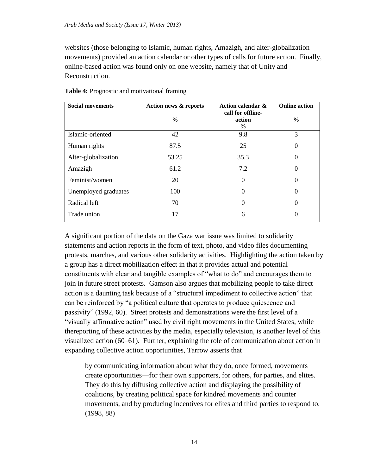websites (those belonging to Islamic, human rights, Amazigh, and alter-globalization movements) provided an action calendar or other types of calls for future action. Finally, online-based action was found only on one website, namely that of Unity and Reconstruction.

| <b>Social movements</b> | <b>Action news &amp; reports</b> | Action calendar &<br>call for offline- | <b>Online action</b> |  |
|-------------------------|----------------------------------|----------------------------------------|----------------------|--|
|                         | $\frac{6}{9}$                    | action<br>$\%$                         | $\frac{0}{0}$        |  |
| Islamic-oriented        | 42                               | 9.8                                    | 3                    |  |
| Human rights            | 87.5                             | 25                                     | $\boldsymbol{0}$     |  |
| Alter-globalization     | 53.25                            | 35.3                                   | $\theta$             |  |
| Amazigh                 | 61.2                             | 7.2                                    | $\theta$             |  |
| Feminist/women          | 20                               | $\boldsymbol{0}$                       | $\theta$             |  |
| Unemployed graduates    | 100                              | 0                                      | $\theta$             |  |
| Radical left            | 70                               | $\theta$                               | 0                    |  |
| Trade union             | 17                               | 6                                      | 0                    |  |

**Table 4:** Prognostic and motivational framing

A significant portion of the data on the Gaza war issue was limited to solidarity statements and action reports in the form of text, photo, and video files documenting protests, marches, and various other solidarity activities. Highlighting the action taken by a group has a direct mobilization effect in that it provides actual and potential constituents with clear and tangible examples of "what to do" and encourages them to join in future street protests. Gamson also argues that mobilizing people to take direct action is a daunting task because of a "structural impediment to collective action" that can be reinforced by "a political culture that operates to produce quiescence and passivity" (1992, 60). Street protests and demonstrations were the first level of a "visually affirmative action" used by civil right movements in the United States, while thereporting of these activities by the media, especially television, is another level of this visualized action (60–61). Further, explaining the role of communication about action in expanding collective action opportunities, Tarrow asserts that

by communicating information about what they do, once formed, movements create opportunities—for their own supporters, for others, for parties, and elites. They do this by diffusing collective action and displaying the possibility of coalitions, by creating political space for kindred movements and counter movements, and by producing incentives for elites and third parties to respond to. (1998, 88)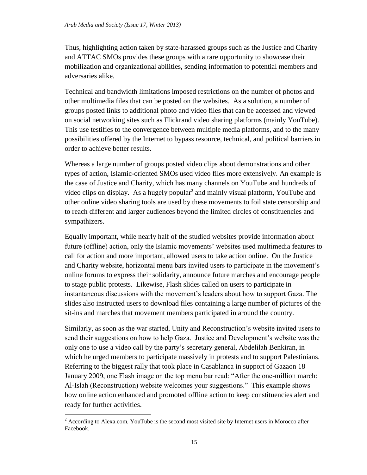Thus, highlighting action taken by state-harassed groups such as the Justice and Charity and ATTAC SMOs provides these groups with a rare opportunity to showcase their mobilization and organizational abilities, sending information to potential members and adversaries alike.

Technical and bandwidth limitations imposed restrictions on the number of photos and other multimedia files that can be posted on the websites. As a solution, a number of groups posted links to additional photo and video files that can be accessed and viewed on social networking sites such as Flickrand video sharing platforms (mainly YouTube). This use testifies to the convergence between multiple media platforms, and to the many possibilities offered by the Internet to bypass resource, technical, and political barriers in order to achieve better results.

Whereas a large number of groups posted video clips about demonstrations and other types of action, Islamic-oriented SMOs used video files more extensively. An example is the case of Justice and Charity, which has many channels on YouTube and hundreds of video clips on display. As a hugely popular<sup>2</sup> and mainly visual platform, YouTube and other online video sharing tools are used by these movements to foil state censorship and to reach different and larger audiences beyond the limited circles of constituencies and sympathizers.

Equally important, while nearly half of the studied websites provide information about future (offline) action, only the Islamic movements' websites used multimedia features to call for action and more important, allowed users to take action online. On the Justice and Charity website, horizontal menu bars invited users to participate in the movement's online forums to express their solidarity, announce future marches and encourage people to stage public protests. Likewise, Flash slides called on users to participate in instantaneous discussions with the movement's leaders about how to support Gaza. The slides also instructed users to download files containing a large number of pictures of the sit-ins and marches that movement members participated in around the country.

Similarly, as soon as the war started, Unity and Reconstruction's website invited users to send their suggestions on how to help Gaza. Justice and Development's website was the only one to use a video call by the party's secretary general, Abdelilah Benkiran, in which he urged members to participate massively in protests and to support Palestinians. Referring to the biggest rally that took place in Casablanca in support of Gazaon 18 January 2009, one Flash image on the top menu bar read: "After the one-million march: Al-Islah (Reconstruction) website welcomes your suggestions." This example shows how online action enhanced and promoted offline action to keep constituencies alert and ready for further activities.

 $\overline{a}$ 

 $2$  According to Alexa.com, YouTube is the second most visited site by Internet users in Morocco after Facebook.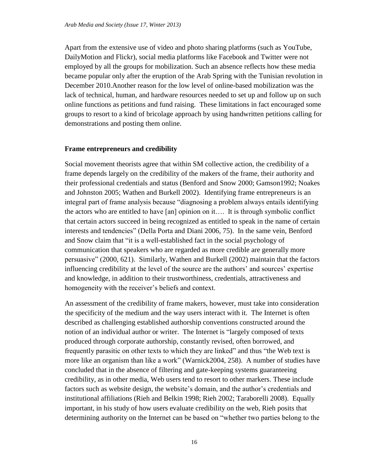Apart from the extensive use of video and photo sharing platforms (such as YouTube, DailyMotion and Flickr), social media platforms like Facebook and Twitter were not employed by all the groups for mobilization. Such an absence reflects how these media became popular only after the eruption of the Arab Spring with the Tunisian revolution in December 2010.Another reason for the low level of online-based mobilization was the lack of technical, human, and hardware resources needed to set up and follow up on such online functions as petitions and fund raising. These limitations in fact encouraged some groups to resort to a kind of bricolage approach by using handwritten petitions calling for demonstrations and posting them online.

### **Frame entrepreneurs and credibility**

Social movement theorists agree that within SM collective action, the credibility of a frame depends largely on the credibility of the makers of the frame, their authority and their professional credentials and status (Benford and Snow 2000; Gamson1992; Noakes and Johnston 2005; Wathen and Burkell 2002). Identifying frame entrepreneurs is an integral part of frame analysis because "diagnosing a problem always entails identifying the actors who are entitled to have [an] opinion on it…. It is through symbolic conflict that certain actors succeed in being recognized as entitled to speak in the name of certain interests and tendencies" (Della Porta and Diani 2006, 75). In the same vein, Benford and Snow claim that "it is a well-established fact in the social psychology of communication that speakers who are regarded as more credible are generally more persuasive" (2000, 621). Similarly, Wathen and Burkell (2002) maintain that the factors influencing credibility at the level of the source are the authors' and sources' expertise and knowledge, in addition to their trustworthiness, credentials, attractiveness and homogeneity with the receiver's beliefs and context.

An assessment of the credibility of frame makers, however, must take into consideration the specificity of the medium and the way users interact with it. The Internet is often described as challenging established authorship conventions constructed around the notion of an individual author or writer. The Internet is "largely composed of texts produced through corporate authorship, constantly revised, often borrowed, and frequently parasitic on other texts to which they are linked" and thus "the Web text is more like an organism than like a work" (Warnick2004, 258). A number of studies have concluded that in the absence of filtering and gate-keeping systems guaranteeing credibility, as in other media, Web users tend to resort to other markers. These include factors such as website design, the website's domain, and the author's credentials and institutional affiliations (Rieh and Belkin 1998; Rieh 2002; Taraborelli 2008). Equally important, in his study of how users evaluate credibility on the web, Rieh posits that determining authority on the Internet can be based on "whether two parties belong to the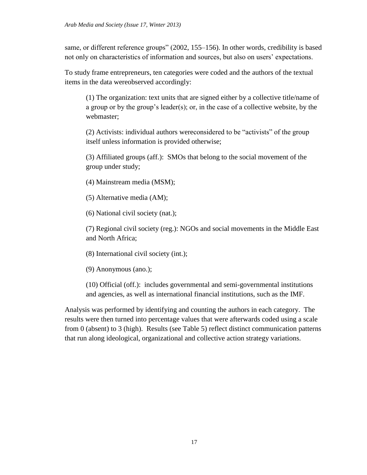same, or different reference groups" (2002, 155–156). In other words, credibility is based not only on characteristics of information and sources, but also on users' expectations.

To study frame entrepreneurs, ten categories were coded and the authors of the textual items in the data wereobserved accordingly:

(1) The organization: text units that are signed either by a collective title/name of a group or by the group's leader(s); or, in the case of a collective website, by the webmaster;

(2) Activists: individual authors wereconsidered to be "activists" of the group itself unless information is provided otherwise;

(3) Affiliated groups (aff.): SMOs that belong to the social movement of the group under study;

(4) Mainstream media (MSM);

(5) Alternative media (AM);

(6) National civil society (nat.);

(7) Regional civil society (reg.): NGOs and social movements in the Middle East and North Africa;

(8) International civil society (int.);

(9) Anonymous (ano.);

(10) Official (off.): includes governmental and semi-governmental institutions and agencies, as well as international financial institutions, such as the IMF.

Analysis was performed by identifying and counting the authors in each category. The results were then turned into percentage values that were afterwards coded using a scale from 0 (absent) to 3 (high). Results (see Table 5) reflect distinct communication patterns that run along ideological, organizational and collective action strategy variations.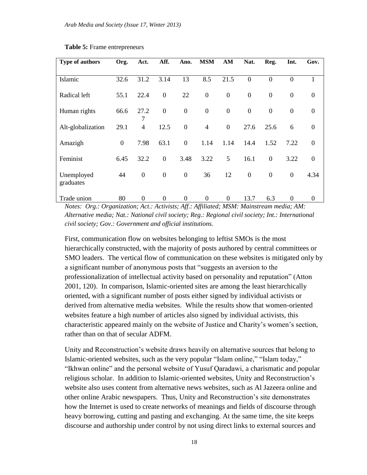| <b>Type of authors</b>  | Org.             | Act.           | Aff.             | Ano.             | <b>MSM</b>       | AM               | Nat.             | Reg.             | Int.             | Gov.             |
|-------------------------|------------------|----------------|------------------|------------------|------------------|------------------|------------------|------------------|------------------|------------------|
|                         |                  |                |                  |                  |                  |                  |                  |                  |                  |                  |
| Islamic                 | 32.6             | 31.2           | 3.14             | 13               | 8.5              | 21.5             | $\boldsymbol{0}$ | $\boldsymbol{0}$ | $\boldsymbol{0}$ | 1                |
| Radical left            | 55.1             | 22.4           | $\boldsymbol{0}$ | 22               | $\boldsymbol{0}$ | $\boldsymbol{0}$ | $\boldsymbol{0}$ | $\boldsymbol{0}$ | $\boldsymbol{0}$ | $\boldsymbol{0}$ |
| Human rights            | 66.6             | 27.2           | $\mathbf{0}$     | $\boldsymbol{0}$ | $\boldsymbol{0}$ | $\boldsymbol{0}$ | $\boldsymbol{0}$ | $\boldsymbol{0}$ | $\boldsymbol{0}$ | $\boldsymbol{0}$ |
|                         |                  | 7              |                  |                  |                  |                  |                  |                  |                  |                  |
| Alt-globalization       | 29.1             | $\overline{4}$ | 12.5             | $\boldsymbol{0}$ | $\overline{4}$   | $\overline{0}$   | 27.6             | 25.6             | 6                | $\overline{0}$   |
| Amazigh                 | $\boldsymbol{0}$ | 7.98           | 63.1             | $\mathbf{0}$     | 1.14             | 1.14             | 14.4             | 1.52             | 7.22             | $\overline{0}$   |
| Feminist                | 6.45             | 32.2           | $\mathbf{0}$     | 3.48             | 3.22             | 5                | 16.1             | $\overline{0}$   | 3.22             | $\overline{0}$   |
| Unemployed<br>graduates | 44               | $\mathbf{0}$   | $\mathbf{0}$     | $\boldsymbol{0}$ | 36               | 12               | $\boldsymbol{0}$ | $\boldsymbol{0}$ | $\boldsymbol{0}$ | 4.34             |
| Trade union             | 80               | $\overline{0}$ | $\mathbf{0}$     | $\boldsymbol{0}$ | $\boldsymbol{0}$ | $\boldsymbol{0}$ | 13.7             | 6.3              | $\boldsymbol{0}$ | $\overline{0}$   |

#### **Table 5:** Frame entrepreneurs

*Notes: Org.: Organization; Act.: Activists; Aff.: Affiliated; MSM: Mainstream media; AM: Alternative media; Nat.: National civil society; Reg.: Regional civil society; Int.: International civil society; Gov.: Government and official institutions.* 

First, communication flow on websites belonging to leftist SMOs is the most hierarchically constructed, with the majority of posts authored by central committees or SMO leaders. The vertical flow of communication on these websites is mitigated only by a significant number of anonymous posts that "suggests an aversion to the professionalization of intellectual activity based on personality and reputation" (Atton 2001, 120). In comparison, Islamic-oriented sites are among the least hierarchically oriented, with a significant number of posts either signed by individual activists or derived from alternative media websites. While the results show that women-oriented websites feature a high number of articles also signed by individual activists, this characteristic appeared mainly on the website of Justice and Charity's women's section, rather than on that of secular ADFM.

Unity and Reconstruction's website draws heavily on alternative sources that belong to Islamic-oriented websites, such as the very popular "Islam online," "Islam today," "Ikhwan online" and the personal website of Yusuf Qaradawi, a charismatic and popular religious scholar. In addition to Islamic-oriented websites, Unity and Reconstruction's website also uses content from alternative news websites, such as Al Jazeera online and other online Arabic newspapers. Thus, Unity and Reconstruction's site demonstrates how the Internet is used to create networks of meanings and fields of discourse through heavy borrowing, cutting and pasting and exchanging. At the same time, the site keeps discourse and authorship under control by not using direct links to external sources and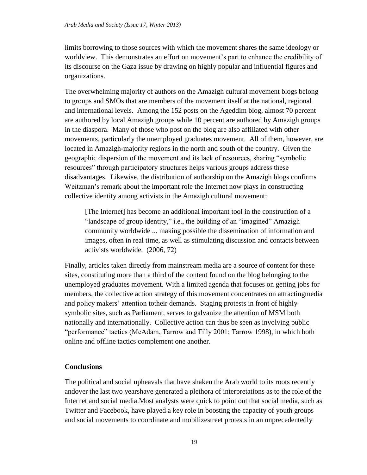limits borrowing to those sources with which the movement shares the same ideology or worldview. This demonstrates an effort on movement's part to enhance the credibility of its discourse on the Gaza issue by drawing on highly popular and influential figures and organizations.

The overwhelming majority of authors on the Amazigh cultural movement blogs belong to groups and SMOs that are members of the movement itself at the national, regional and international levels. Among the 152 posts on the Ageddim blog, almost 70 percent are authored by local Amazigh groups while 10 percent are authored by Amazigh groups in the diaspora. Many of those who post on the blog are also affiliated with other movements, particularly the unemployed graduates movement. All of them, however, are located in Amazigh-majority regions in the north and south of the country. Given the geographic dispersion of the movement and its lack of resources, sharing "symbolic resources" through participatory structures helps various groups address these disadvantages. Likewise, the distribution of authorship on the Amazigh blogs confirms Weitzman's remark about the important role the Internet now plays in constructing collective identity among activists in the Amazigh cultural movement:

[The Internet] has become an additional important tool in the construction of a "landscape of group identity," i.e., the building of an "imagined" Amazigh community worldwide ... making possible the dissemination of information and images, often in real time, as well as stimulating discussion and contacts between activists worldwide. (2006, 72)

Finally, articles taken directly from mainstream media are a source of content for these sites, constituting more than a third of the content found on the blog belonging to the unemployed graduates movement. With a limited agenda that focuses on getting jobs for members, the collective action strategy of this movement concentrates on attractingmedia and policy makers' attention totheir demands. Staging protests in front of highly symbolic sites, such as Parliament, serves to galvanize the attention of MSM both nationally and internationally. Collective action can thus be seen as involving public "performance" tactics (McAdam, Tarrow and Tilly 2001; Tarrow 1998), in which both online and offline tactics complement one another.

# **Conclusions**

The political and social upheavals that have shaken the Arab world to its roots recently andover the last two yearshave generated a plethora of interpretations as to the role of the Internet and social media.Most analysts were quick to point out that social media, such as Twitter and Facebook, have played a key role in boosting the capacity of youth groups and social movements to coordinate and mobilizestreet protests in an unprecedentedly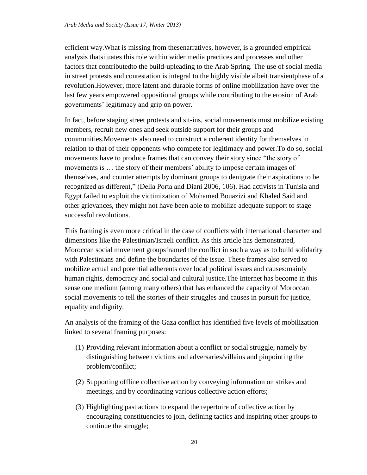efficient way.What is missing from thesenarratives, however, is a grounded empirical analysis thatsituates this role within wider media practices and processes and other factors that contributedto the build-upleading to the Arab Spring. The use of social media in street protests and contestation is integral to the highly visible albeit transientphase of a revolution.However, more latent and durable forms of online mobilization have over the last few years empowered oppositional groups while contributing to the erosion of Arab governments' legitimacy and grip on power.

In fact, before staging street protests and sit-ins, social movements must mobilize existing members, recruit new ones and seek outside support for their groups and communities.Movements also need to construct a coherent identity for themselves in relation to that of their opponents who compete for legitimacy and power.To do so, social movements have to produce frames that can convey their story since "the story of movements is … the story of their members' ability to impose certain images of themselves, and counter attempts by dominant groups to denigrate their aspirations to be recognized as different," (Della Porta and Diani 2006, 106). Had activists in Tunisia and Egypt failed to exploit the victimization of Mohamed Bouazizi and Khaled Said and other grievances, they might not have been able to mobilize adequate support to stage successful revolutions.

This framing is even more critical in the case of conflicts with international character and dimensions like the Palestinian/Israeli conflict. As this article has demonstrated, Moroccan social movement groupsframed the conflict in such a way as to build solidarity with Palestinians and define the boundaries of the issue. These frames also served to mobilize actual and potential adherents over local political issues and causes:mainly human rights, democracy and social and cultural justice.The Internet has become in this sense one medium (among many others) that has enhanced the capacity of Moroccan social movements to tell the stories of their struggles and causes in pursuit for justice, equality and dignity.

An analysis of the framing of the Gaza conflict has identified five levels of mobilization linked to several framing purposes:

- (1) Providing relevant information about a conflict or social struggle, namely by distinguishing between victims and adversaries/villains and pinpointing the problem/conflict;
- (2) Supporting offline collective action by conveying information on strikes and meetings, and by coordinating various collective action efforts;
- (3) Highlighting past actions to expand the repertoire of collective action by encouraging constituencies to join, defining tactics and inspiring other groups to continue the struggle;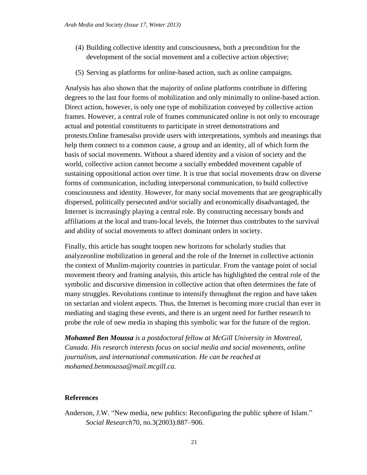- (4) Building collective identity and consciousness, both a precondition for the development of the social movement and a collective action objective;
- (5) Serving as platforms for online-based action, such as online campaigns.

Analysis has also shown that the majority of online platforms contribute in differing degrees to the last four forms of mobilization and only minimally to online-based action. Direct action, however, is only one type of mobilization conveyed by collective action frames. However, a central role of frames communicated online is not only to encourage actual and potential constituents to participate in street demonstrations and protests.Online framesalso provide users with interpretations, symbols and meanings that help them connect to a common cause, a group and an identity, all of which form the basis of social movements. Without a shared identity and a vision of society and the world, collective action cannot become a socially embedded movement capable of sustaining oppositional action over time. It is true that social movements draw on diverse forms of communication, including interpersonal communication, to build collective consciousness and identity. However, for many social movements that are geographically dispersed, politically persecuted and/or socially and economically disadvantaged, the Internet is increasingly playing a central role. By constructing necessary bonds and affiliations at the local and trans-local levels, the Internet thus contributes to the survival and ability of social movements to affect dominant orders in society.

Finally, this article has sought toopen new horizons for scholarly studies that analyzeonline mobilization in general and the role of the Internet in collective actionin the context of Muslim-majority countries in particular. From the vantage point of social movement theory and framing analysis, this article has highlighted the central role of the symbolic and discursive dimension in collective action that often determines the fate of many struggles. Revolutions continue to intensify throughout the region and have taken on sectarian and violent aspects. Thus, the Internet is becoming more crucial than ever in mediating and staging these events, and there is an urgent need for further research to probe the role of new media in shaping this symbolic war for the future of the region.

*Mohamed Ben Moussa is a postdoctoral fellow at McGill University in Montreal, Canada. His research interests focus on social media and social movements, online journalism, and international communication. He can be reached at mohamed.benmoussa@mail.mcgill.ca.*

#### **References**

Anderson, J.W. "New media, new publics: Reconfiguring the public sphere of Islam." *Social Research*70, no.3(2003):887–906.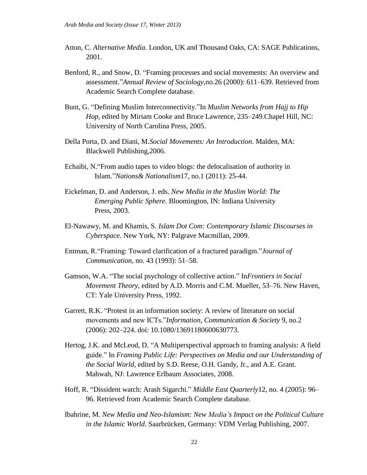- Atton, C. *Alternative Media*. London, UK and Thousand Oaks, CA: SAGE Publications, 2001.
- Benford, R., and Snow, D. "Framing processes and social movements: An overview and assessment."*Annual Review of Sociology*,no.26 (2000): 611–639. Retrieved from Academic Search Complete database.
- Bunt, G. "Defining Muslim Interconnectivity."In *Muslim Networks from Hajj to Hip Hop,* edited by Miriam Cooke and Bruce Lawrence, 235–249.Chapel Hill, NC: University of North Carolina Press, 2005.
- Della Porta, D. and Diani, M.*Social Movements: An Introduction*. Malden, MA: Blackwell Publishing,2006.
- Echaibi, N."From audio tapes to video blogs: the delocalisation of authority in Islam."*Nations& Nationalism*17, no.1 (2011): 25-44.
- Eickelman, D. and Anderson, J. eds. *New Media in the Muslim World: The Emerging Public Sphere*. Bloomington, IN: Indiana University Press, 2003.
- El-Nawawy, M. and Khamis, S. *Islam Dot Com: Contemporary Islamic Discourses in Cyberspace*. New York, NY: Palgrave Macmillan, 2009.
- Entman, R."Framing: Toward clarification of a fractured paradigm."*Journal of Communication*, no. 43 (1993): 51–58.
- Gamson, W.A. "The social psychology of collective action." In*Frontiers in Social Movement Theory,* edited by A.D. Morris and C.M. Mueller, 53–76. New Haven, CT: Yale University Press, 1992.
- Garrett, R.K. "Protest in an information society: A review of literature on social movements and new ICTs."*Information, Communication & Society* 9, no.2 (2006): 202–224. doi: 10.1080/13691180600630773.
- Hertog, J.K. and McLeod, D. "A Multiperspectival approach to framing analysis: A field guide." In *Framing Public Life: Perspectives on Media and our Understanding of the Social World,* edited by S.D. Reese, O.H. Gandy, Jr., and A.E. Grant. Mahwah, NJ: Lawrence Erlbaum Associates, 2008.
- Hoff, R. ["Dissident watch: Arash](http://0-web.ebscohost.com.mercury.concordia.ca/ehost/viewarticle?data=dGJyMPPp44rp2%2fdV0%2bnjisfk5Ie46bJPs6%2bzTq%2bk63nn5Kx95uXxjL6nsEexpbBIrq2eUbipsVKzrZ5oy5zyit%2fk8Xnh6ueH7N%2fiVa%2bqrkuvr65Jsq%2bkhN%2fk5VXj5KR84LPfiOac8nnls79mpNfsVa%2butU60q7BPpNztiuvX8lXk6%2bqE8tv2jAAA&hid=106) Sigarchi." *Middle East Quarterly*12, no. 4 (2005): 96– 96. Retrieved from Academic Search Complete database.
- Ibahrine, M. *New Media and Neo-Islamism: New Media's Impact on the Political Culture in the Islamic World*. Saarbrücken, Germany: VDM Verlag Publishing, 2007.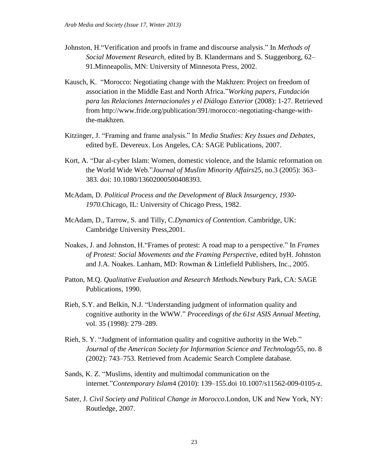- Johnston, H."Verification and proofs in frame and discourse analysis." In *Methods of Social Movement Research,* edited by B. Klandermans and S. Staggenborg, 62– 91.Minneapolis, MN: University of Minnesota Press, 2002.
- Kausch, K. "Morocco: Negotiating change with the Makhzen: Project on freedom of association in the Middle East and North Africa."*Working papers, Fundación para las Relaciones Internacionales y el Diálogo Exterior* (2008): 1-27. Retrieved from [http://www.fride.org/publication/391/morocco:-negotiating-change-with](http://www.fride.org/publication/391/morocco:-negotiating-change-with-the-makhzen)[the-makhzen.](http://www.fride.org/publication/391/morocco:-negotiating-change-with-the-makhzen)
- Kitzinger, J. "Framing and frame analysis." In *Media Studies: Key Issues and Debates,*  edited byE. Devereux. Los Angeles, CA: SAGE Publications, 2007.
- Kort, A. "Dar al-cyber Islam: Women, domestic violence, and the Islamic reformation on the World Wide Web."*Journal of Muslim Minority Affairs*25, no.3 (2005): 363– 383. doi: 10.1080/13602000500408393.
- McAdam, D. *Political Process and the Development of Black Insurgency, 1930- 1970.*Chicago, IL: University of Chicago Press, 1982.
- McAdam, D., Tarrow, S. and Tilly, C.*Dynamics of Contention*. Cambridge, UK: Cambridge University Press,2001.
- Noakes, J. and Johnston, H."Frames of protest: A road map to a perspective." In *Frames of Protest: Social Movements and the Framing Perspective,* edited byH. Johnston and J.A. Noakes. Lanham, MD: Rowman & Littlefield Publishers, Inc., 2005.
- Patton, M.Q. *Qualitative Evaluation and Research Methods.*Newbury Park, CA: SAGE Publications, 1990.
- Rieh, S.Y. and Belkin, N.J. "Understanding judgment of information quality and cognitive authority in the WWW." *Proceedings of the 61st ASIS Annual Meeting*, vol. 35 (1998): 279–289.
- Rieh, S. Y. "Judgment of information quality and cognitive authority in the Web." *Journal of the American Society for Information Science and Technology*55*,* no. 8 (2002): 743–753. Retrieved from Academic Search Complete database.
- Sands, K. Z. "Muslims, identity and multimodal communication on the internet."*Contemporary Islam*4 (2010): 139–155.doi 10.1007/s11562-009-0105-z.
- Sater, J. *Civil Society and Political Change in Morocco*.London, UK and New York, NY: Routledge, 2007.